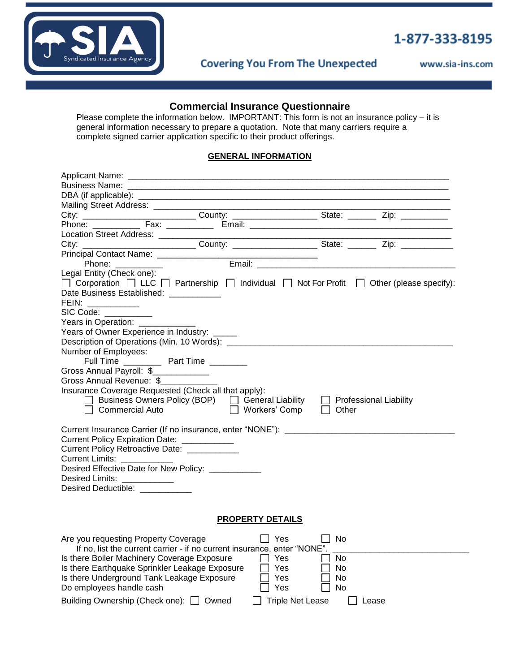

# 1-877-333-8195

**Covering You From The Unexpected** 

www.sia-ins.com

## **Commercial Insurance Questionnaire**

Please complete the information below. IMPORTANT: This form is not an insurance policy – it is general information necessary to prepare a quotation. Note that many carriers require a complete signed carrier application specific to their product offerings.

### **GENERAL INFORMATION**

| Location Street Address: __________                                                                                                                                                                                                             |                                                                                                                                                                                                                                      |
|-------------------------------------------------------------------------------------------------------------------------------------------------------------------------------------------------------------------------------------------------|--------------------------------------------------------------------------------------------------------------------------------------------------------------------------------------------------------------------------------------|
| City: ______________________________County: _________________________State: ___________Zip: ______________                                                                                                                                      |                                                                                                                                                                                                                                      |
|                                                                                                                                                                                                                                                 |                                                                                                                                                                                                                                      |
| Phone: __________                                                                                                                                                                                                                               | Email: <u>Alexander Alexander Alexander Alexander Alexander Alexander Alexander Alexander Alexander Alexander Alexander Alexander Alexander Alexander Alexander Alexander Alexander Alexander Alexander Alexander Alexander Alex</u> |
| Legal Entity (Check one):<br>$\Box$ Corporation $\Box$ LLC $\Box$ Partnership $\Box$ Individual $\Box$ Not For Profit $\Box$ Other (please specify):<br>Date Business Established: ____________                                                 |                                                                                                                                                                                                                                      |
| FEIN: ____________                                                                                                                                                                                                                              |                                                                                                                                                                                                                                      |
| SIC Code: <b>SIC Code</b> :                                                                                                                                                                                                                     |                                                                                                                                                                                                                                      |
| Years in Operation: _________                                                                                                                                                                                                                   |                                                                                                                                                                                                                                      |
| Years of Owner Experience in Industry: _____                                                                                                                                                                                                    |                                                                                                                                                                                                                                      |
|                                                                                                                                                                                                                                                 |                                                                                                                                                                                                                                      |
| Number of Employees:<br>Full Time _____________ Part Time _________                                                                                                                                                                             |                                                                                                                                                                                                                                      |
|                                                                                                                                                                                                                                                 |                                                                                                                                                                                                                                      |
| Gross Annual Payroll: \$<br>Gross Annual Revenue: \$                                                                                                                                                                                            |                                                                                                                                                                                                                                      |
|                                                                                                                                                                                                                                                 |                                                                                                                                                                                                                                      |
| Insurance Coverage Requested (Check all that apply):<br>□ Business Owners Policy (BOP) □ General Liability<br>$\Box$ Commercial Auto<br>Workers' Comp                                                                                           | $\Box$ Professional Liability<br>    Other                                                                                                                                                                                           |
| Current Policy Expiration Date: ___________<br>Current Policy Retroactive Date: ___________<br>Current Limits: ___________<br>Desired Effective Date for New Policy: __________<br>Desired Limits: ___________<br>Desired Deductible: _________ |                                                                                                                                                                                                                                      |
| <b>PROPERTY DETAILS</b>                                                                                                                                                                                                                         |                                                                                                                                                                                                                                      |
| Yes<br>Are you requesting Property Coverage<br>If no, list the current carrier - if no current insurance, enter "NONE".<br>Is there Boiler Machinery Coverage Exposure<br>Yes                                                                   | No.<br>No.                                                                                                                                                                                                                           |
| Is there Earthquake Sprinkler Leakage Exposure<br>Yes<br>Is there Underground Tank Leakage Exposure<br>Yes                                                                                                                                      | No.<br><b>No</b>                                                                                                                                                                                                                     |
| Do employees handle cash<br>Yes                                                                                                                                                                                                                 | <b>No</b>                                                                                                                                                                                                                            |
| Building Ownership (Check one): □ Owned                                                                                                                                                                                                         | <b>Triple Net Lease</b><br>Lease                                                                                                                                                                                                     |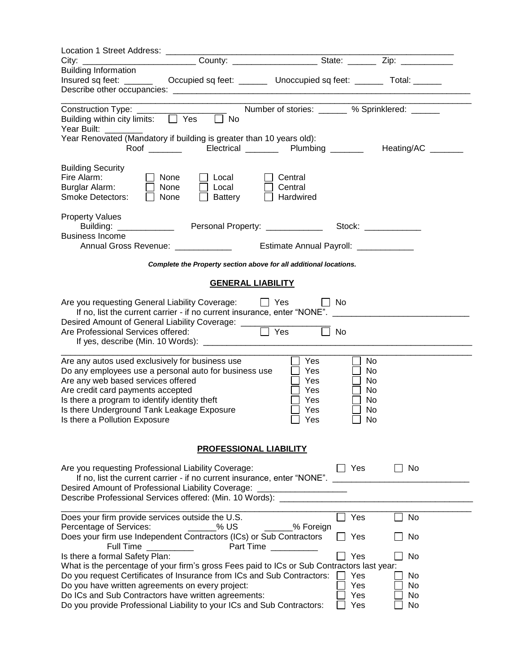| Location 1 Street Address: ______<br>City:                                                                                               |                                                                         |                                                                                                                                                                                                                                |                   |
|------------------------------------------------------------------------------------------------------------------------------------------|-------------------------------------------------------------------------|--------------------------------------------------------------------------------------------------------------------------------------------------------------------------------------------------------------------------------|-------------------|
| <b>Building Information</b>                                                                                                              |                                                                         |                                                                                                                                                                                                                                |                   |
| Insured sq feet: ______                                                                                                                  | Occupied sq feet: _________ Unoccupied sq feet: ________ Total: _______ |                                                                                                                                                                                                                                |                   |
|                                                                                                                                          |                                                                         |                                                                                                                                                                                                                                |                   |
| Construction Type: ______                                                                                                                | Number of stories: _______ % Sprinklered: ______                        |                                                                                                                                                                                                                                |                   |
| Building within city limits: D Yes<br>$\overline{\Box}$ No                                                                               |                                                                         |                                                                                                                                                                                                                                |                   |
| Year Built:<br>Year Renovated (Mandatory if building is greater than 10 years old):                                                      |                                                                         |                                                                                                                                                                                                                                |                   |
| Roof _______                                                                                                                             | Electrical ________ Plumbing ______                                     |                                                                                                                                                                                                                                | Heating/AC ______ |
|                                                                                                                                          |                                                                         |                                                                                                                                                                                                                                |                   |
| <b>Building Security</b>                                                                                                                 |                                                                         |                                                                                                                                                                                                                                |                   |
| Fire Alarm:<br>None<br>Local<br>Burglar Alarm:<br>Local<br>None                                                                          | Central<br>Central                                                      |                                                                                                                                                                                                                                |                   |
| <b>Smoke Detectors:</b><br>None<br>Battery                                                                                               | Hardwired                                                               |                                                                                                                                                                                                                                |                   |
|                                                                                                                                          |                                                                         |                                                                                                                                                                                                                                |                   |
| <b>Property Values</b>                                                                                                                   |                                                                         |                                                                                                                                                                                                                                |                   |
| Building: _____________<br><b>Business Income</b>                                                                                        | Personal Property: ______________                                       | Stock: The Stock of the Stock of the Stock of the Stock of the Stock of the Stock of the Stock of the Stock of the Stock of the Stock of the Stock of the Stock of the Stock of the Stock of the Stock of the Stock of the Sto |                   |
| Annual Gross Revenue: _____________                                                                                                      | Estimate Annual Payroll: _____________                                  |                                                                                                                                                                                                                                |                   |
| Complete the Property section above for all additional locations.                                                                        |                                                                         |                                                                                                                                                                                                                                |                   |
|                                                                                                                                          |                                                                         |                                                                                                                                                                                                                                |                   |
|                                                                                                                                          | <b>GENERAL LIABILITY</b>                                                |                                                                                                                                                                                                                                |                   |
| Are you requesting General Liability Coverage:                                                                                           | $\Box$ Yes                                                              | <b>No</b>                                                                                                                                                                                                                      |                   |
|                                                                                                                                          |                                                                         |                                                                                                                                                                                                                                |                   |
|                                                                                                                                          |                                                                         |                                                                                                                                                                                                                                |                   |
|                                                                                                                                          |                                                                         | <b>No</b>                                                                                                                                                                                                                      |                   |
|                                                                                                                                          |                                                                         |                                                                                                                                                                                                                                |                   |
| Are any autos used exclusively for business use                                                                                          | Yes                                                                     | No                                                                                                                                                                                                                             |                   |
| Do any employees use a personal auto for business use                                                                                    | Yes                                                                     | No                                                                                                                                                                                                                             |                   |
| Are any web based services offered                                                                                                       | Yes                                                                     | No.                                                                                                                                                                                                                            |                   |
| Are credit card payments accepted                                                                                                        | Yes                                                                     | No.                                                                                                                                                                                                                            |                   |
| Is there a program to identify identity theft<br>Is there Underground Tank Leakage Exposure                                              | Yes<br>Yes                                                              | No<br>No                                                                                                                                                                                                                       |                   |
| Is there a Pollution Exposure                                                                                                            | Yes                                                                     | No                                                                                                                                                                                                                             |                   |
|                                                                                                                                          |                                                                         |                                                                                                                                                                                                                                |                   |
|                                                                                                                                          | <b>PROFESSIONAL LIABILITY</b>                                           |                                                                                                                                                                                                                                |                   |
|                                                                                                                                          |                                                                         |                                                                                                                                                                                                                                |                   |
| Are you requesting Professional Liability Coverage:                                                                                      |                                                                         | Yes                                                                                                                                                                                                                            | No                |
| If no, list the current carrier - if no current insurance, enter "NONE".                                                                 |                                                                         |                                                                                                                                                                                                                                |                   |
| Desired Amount of Professional Liability Coverage: ____________________<br>Describe Professional Services offered: (Min. 10 Words): ____ |                                                                         |                                                                                                                                                                                                                                |                   |
|                                                                                                                                          |                                                                         |                                                                                                                                                                                                                                |                   |
| Does your firm provide services outside the U.S.                                                                                         |                                                                         | Yes                                                                                                                                                                                                                            | No                |
| Percentage of Services:<br>% US                                                                                                          | _____% Foreign                                                          |                                                                                                                                                                                                                                |                   |
| Does your firm use Independent Contractors (ICs) or Sub Contractors<br>Full Time                                                         | <b>Part Time</b>                                                        | Yes                                                                                                                                                                                                                            | No                |
| Is there a formal Safety Plan:                                                                                                           |                                                                         | Yes                                                                                                                                                                                                                            | No                |
| What is the percentage of your firm's gross Fees paid to ICs or Sub Contractors last year:                                               |                                                                         |                                                                                                                                                                                                                                |                   |
| Do you request Certificates of Insurance from ICs and Sub Contractors:                                                                   |                                                                         | Yes                                                                                                                                                                                                                            | No                |
| Do you have written agreements on every project:                                                                                         |                                                                         | Yes                                                                                                                                                                                                                            | No                |
| Do ICs and Sub Contractors have written agreements:                                                                                      |                                                                         | Yes                                                                                                                                                                                                                            | No                |
| Do you provide Professional Liability to your ICs and Sub Contractors:                                                                   |                                                                         | Yes                                                                                                                                                                                                                            | No                |